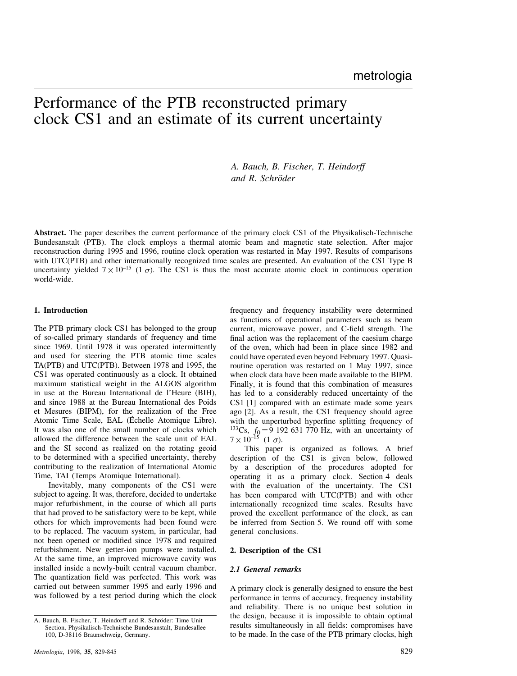# Performance of the PTB reconstructed primary clock CS1 and an estimate of its current uncertainty

*A. Bauch, B. Fischer, T. Heindorff and R. Schr¨oder*

**Abstract.** The paper describes the current performance of the primary clock CS1 of the Physikalisch-Technische Bundesanstalt (PTB). The clock employs a thermal atomic beam and magnetic state selection. After major reconstruction during 1995 and 1996, routine clock operation was restarted in May 1997. Results of comparisons with UTC(PTB) and other internationally recognized time scales are presented. An evaluation of the CS1 Type B uncertainty yielded  $7 \times 10^{-15}$  (1  $\sigma$ ). The CS1 is thus the most accurate atomic clock in continuous operation world-wide.

# **1. Introduction**

The PTB primary clock CS1 has belonged to the group of so-called primary standards of frequency and time since 1969. Until 1978 it was operated intermittently and used for steering the PTB atomic time scales TA(PTB) and UTC(PTB). Between 1978 and 1995, the CS1 was operated continuously as a clock. It obtained maximum statistical weight in the ALGOS algorithm in use at the Bureau International de l'Heure (BIH), and since 1988 at the Bureau International des Poids et Mesures (BIPM), for the realization of the Free Atomic Time Scale, EAL (Echelle Atomique Libre). ´ It was also one of the small number of clocks which allowed the difference between the scale unit of EAL and the SI second as realized on the rotating geoid to be determined with a specified uncertainty, thereby contributing to the realization of International Atomic Time, TAI (Temps Atomique International).

Inevitably, many components of the CS1 were subject to ageing. It was, therefore, decided to undertake major refurbishment, in the course of which all parts that had proved to be satisfactory were to be kept, while others for which improvements had been found were to be replaced. The vacuum system, in particular, had not been opened or modified since 1978 and required refurbishment. New getter-ion pumps were installed. At the same time, an improved microwave cavity was installed inside a newly-built central vacuum chamber. The quantization field was perfected. This work was carried out between summer 1995 and early 1996 and was followed by a test period during which the clock

frequency and frequency instability were determined as functions of operational parameters such as beam current, microwave power, and C-field strength. The final action was the replacement of the caesium charge of the oven, which had been in place since 1982 and could have operated even beyond February 1997. Quasiroutine operation was restarted on 1 May 1997, since when clock data have been made available to the BIPM. Finally, it is found that this combination of measures has led to a considerably reduced uncertainty of the CS1 [1] compared with an estimate made some years ago [2]. As a result, the CS1 frequency should agree with the unperturbed hyperfine splitting frequency of <sup>133</sup>Cs,  $f_0 = 9$  192 631 770 Hz, with an uncertainty of  $7 \times 10^{-15}$  (1  $\sigma$ ).

This paper is organized as follows. A brief description of the CS1 is given below, followed by a description of the procedures adopted for operating it as a primary clock. Section 4 deals with the evaluation of the uncertainty. The CS1 has been compared with UTC(PTB) and with other internationally recognized time scales. Results have proved the excellent performance of the clock, as can be inferred from Section 5. We round off with some general conclusions.

## **2. Description of the CS1**

### *2.1 General remarks*

A primary clock is generally designed to ensure the best performance in terms of accuracy, frequency instability and reliability. There is no unique best solution in the design, because it is impossible to obtain optimal results simultaneously in all fields: compromises have to be made. In the case of the PTB primary clocks, high

A. Bauch, B. Fischer, T. Heindorff and R. Schröder: Time Unit Section, Physikalisch-Technische Bundesanstalt, Bundesallee 100, D-38116 Braunschweig, Germany.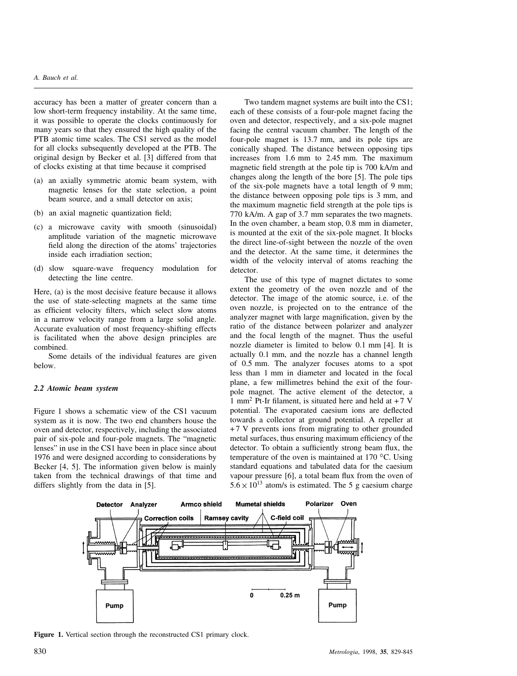# *A. Bauch et al.*

accuracy has been a matter of greater concern than a low short-term frequency instability. At the same time, it was possible to operate the clocks continuously for many years so that they ensured the high quality of the PTB atomic time scales. The CS1 served as the model for all clocks subsequently developed at the PTB. The original design by Becker et al. [3] differed from that of clocks existing at that time because it comprised

- (a) an axially symmetric atomic beam system, with magnetic lenses for the state selection, a point beam source, and a small detector on axis;
- (b) an axial magnetic quantization field;
- (c) a microwave cavity with smooth (sinusoidal) amplitude variation of the magnetic microwave field along the direction of the atoms' trajectories inside each irradiation section;
- (d) slow square-wave frequency modulation for detecting the line centre.

Here, (a) is the most decisive feature because it allows the use of state-selecting magnets at the same time as efficient velocity filters, which select slow atoms in a narrow velocity range from a large solid angle. Accurate evaluation of most frequency-shifting effects is facilitated when the above design principles are combined.

Some details of the individual features are given below.

## *2.2 Atomic beam system*

Figure 1 shows a schematic view of the CS1 vacuum system as it is now. The two end chambers house the oven and detector, respectively, including the associated pair of six-pole and four-pole magnets. The "magnetic lenses" in use in the CS1 have been in place since about 1976 and were designed according to considerations by Becker [4, 5]. The information given below is mainly taken from the technical drawings of that time and differs slightly from the data in [5].

Two tandem magnet systems are built into the CS1; each of these consists of a four-pole magnet facing the oven and detector, respectively, and a six-pole magnet facing the central vacuum chamber. The length of the four-pole magnet is 13.7 mm, and its pole tips are conically shaped. The distance between opposing tips increases from 1.6 mm to 2.45 mm. The maximum magnetic field strength at the pole tip is 700 kA/m and changes along the length of the bore [5]. The pole tips of the six-pole magnets have a total length of 9 mm; the distance between opposing pole tips is 3 mm, and the maximum magnetic field strength at the pole tips is 770 kA/m. A gap of 3.7 mm separates the two magnets. In the oven chamber, a beam stop, 0.8 mm in diameter, is mounted at the exit of the six-pole magnet. It blocks the direct line-of-sight between the nozzle of the oven and the detector. At the same time, it determines the width of the velocity interval of atoms reaching the detector.

The use of this type of magnet dictates to some extent the geometry of the oven nozzle and of the detector. The image of the atomic source, i.e. of the oven nozzle, is projected on to the entrance of the analyzer magnet with large magnification, given by the ratio of the distance between polarizer and analyzer and the focal length of the magnet. Thus the useful nozzle diameter is limited to below 0.1 mm [4]. It is actually 0.1 mm, and the nozzle has a channel length of 0.5 mm. The analyzer focuses atoms to a spot less than 1 mm in diameter and located in the focal plane, a few millimetres behind the exit of the fourpole magnet. The active element of the detector, a 1 mm<sup>2</sup> Pt-Ir filament, is situated here and held at  $+7$  V potential. The evaporated caesium ions are deflected towards a collector at ground potential. A repeller at + 7 V prevents ions from migrating to other grounded metal surfaces, thus ensuring maximum efficiency of the detector. To obtain a sufficiently strong beam flux, the temperature of the oven is maintained at 170  $^{\circ}$ C. Using standard equations and tabulated data for the caesium vapour pressure [6], a total beam flux from the oven of  $5.6 \times 10^{13}$  atom/s is estimated. The 5 g caesium charge



**Figure 1.** Vertical section through the reconstructed CS1 primary clock.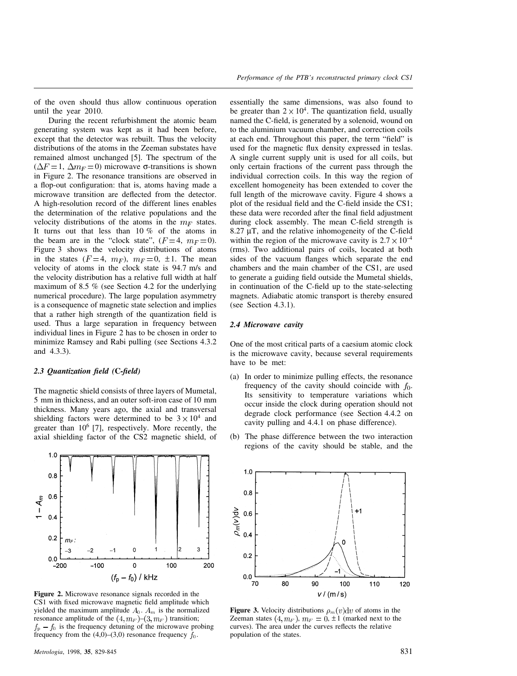of the oven should thus allow continuous operation until the year 2010.

During the recent refurbishment the atomic beam generating system was kept as it had been before, except that the detector was rebuilt. Thus the velocity distributions of the atoms in the Zeeman substates have remained almost unchanged [5]. The spectrum of the  $(\Delta F = 1, \Delta m_F = 0)$  microwave σ-transitions is shown in Figure 2. The resonance transitions are observed in a flop-out configuration: that is, atoms having made a microwave transition are deflected from the detector. A high-resolution record of the different lines enables the determination of the relative populations and the velocity distributions of the atoms in the  $m_F$  states. It turns out that less than 10 % of the atoms in the beam are in the "clock state",  $(F=4, m_F=0)$ . Figure 3 shows the velocity distributions of atoms in the states  $(F=4, m_F)$ ,  $m_F=0, \pm 1$ . The mean velocity of atoms in the clock state is 94.7 m/s and the velocity distribution has a relative full width at half maximum of 8.5 % (see Section 4.2 for the underlying numerical procedure). The large population asymmetry is a consequence of magnetic state selection and implies that a rather high strength of the quantization field is used. Thus a large separation in frequency between individual lines in Figure 2 has to be chosen in order to minimize Ramsey and Rabi pulling (see Sections 4.3.2 and 4.3.3).

## *2.3 Quantization field (***C***-field)*

The magnetic shield consists of three layers of Mumetal, 5 mm in thickness, and an outer soft-iron case of 10 mm thickness. Many years ago, the axial and transversal shielding factors were determined to be  $3 \times 10^4$  and greater than  $10^6$  [7], respectively. More recently, the axial shielding factor of the CS2 magnetic shield, of



**Figure 2.** Microwave resonance signals recorded in the CS1 with fixed microwave magnetic field amplitude which yielded the maximum amplitude  $A_0$ .  $A_m$  is the normalized resonance amplitude of the  $(4, m_F)$ – $(3, m_F)$  transition;  $f<sub>p</sub> - f<sub>0</sub>$  is the frequency detuning of the microwave probing frequency from the  $(4,0)$ – $(3,0)$  resonance frequency  $f_0$ .

essentially the same dimensions, was also found to be greater than  $2 \times 10^4$ . The quantization field, usually named the C-field, is generated by a solenoid, wound on to the aluminium vacuum chamber, and correction coils at each end. Throughout this paper, the term "field" is used for the magnetic flux density expressed in teslas. A single current supply unit is used for all coils, but only certain fractions of the current pass through the individual correction coils. In this way the region of excellent homogeneity has been extended to cover the full length of the microwave cavity. Figure 4 shows a plot of the residual field and the C-field inside the CS1; these data were recorded after the final field adjustment during clock assembly. The mean C-field strength is  $8.27 \mu$ T, and the relative inhomogeneity of the C-field within the region of the microwave cavity is  $2.7 \times 10^{-4}$ (rms). Two additional pairs of coils, located at both sides of the vacuum flanges which separate the end chambers and the main chamber of the CS1, are used to generate a guiding field outside the Mumetal shields, in continuation of the C-field up to the state-selecting magnets. Adiabatic atomic transport is thereby ensured (see Section 4.3.1).

## *2.4 Microwave cavity*

One of the most critical parts of a caesium atomic clock is the microwave cavity, because several requirements have to be met:

- (a) In order to minimize pulling effects, the resonance frequency of the cavity should coincide with  $f_0$ . Its sensitivity to temperature variations which occur inside the clock during operation should not degrade clock performance (see Section 4.4.2 on cavity pulling and 4.4.1 on phase difference).
- (b) The phase difference between the two interaction regions of the cavity should be stable, and the



**Figure 3.** Velocity distributions  $\rho_m(v)dv$  of atoms in the Zeeman states  $(4, m_F)$ ,  $m_F = 0, \pm 1$  (marked next to the curves). The area under the curves reflects the relative population of the states.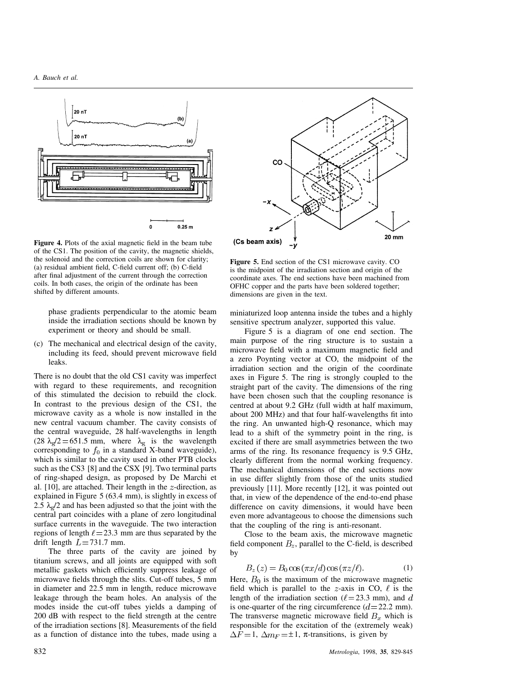

**Figure 4.** Plots of the axial magnetic field in the beam tube of the CS1. The position of the cavity, the magnetic shields, the solenoid and the correction coils are shown for clarity; (a) residual ambient field, C-field current off; (b) C-field after final adjustment of the current through the correction coils. In both cases, the origin of the ordinate has been shifted by different amounts.

phase gradients perpendicular to the atomic beam inside the irradiation sections should be known by experiment or theory and should be small.

(c) The mechanical and electrical design of the cavity, including its feed, should prevent microwave field leaks.

There is no doubt that the old CS1 cavity was imperfect with regard to these requirements, and recognition of this stimulated the decision to rebuild the clock. In contrast to the previous design of the CS1, the microwave cavity as a whole is now installed in the new central vacuum chamber. The cavity consists of the central waveguide, 28 half-wavelengths in length (28  $\lambda_g/2$  = 651.5 mm, where  $\lambda_g$  is the wavelength corresponding to  $f_0$  in a standard X-band waveguide), which is similar to the cavity used in other PTB clocks such as the CS3 [8] and the CSX [9]. Two terminal parts of ring-shaped design, as proposed by De Marchi et al. [10], are attached. Their length in the  $z$ -direction, as explained in Figure 5 (63.4 mm), is slightly in excess of 2.5  $\lambda_{\rm g}$ /2 and has been adjusted so that the joint with the central part coincides with a plane of zero longitudinal surface currents in the waveguide. The two interaction regions of length  $\ell$  = 23.3 mm are thus separated by the drift length  $L = 731.7$  mm.

The three parts of the cavity are joined by titanium screws, and all joints are equipped with soft metallic gaskets which efficiently suppress leakage of microwave fields through the slits. Cut-off tubes, 5 mm in diameter and 22.5 mm in length, reduce microwave leakage through the beam holes. An analysis of the modes inside the cut-off tubes yields a damping of 200 dB with respect to the field strength at the centre of the irradiation sections [8]. Measurements of the field as a function of distance into the tubes, made using a



**Figure 5.** End section of the CS1 microwave cavity. CO is the midpoint of the irradiation section and origin of the coordinate axes. The end sections have been machined from OFHC copper and the parts have been soldered together; dimensions are given in the text.

miniaturized loop antenna inside the tubes and a highly sensitive spectrum analyzer, supported this value.

Figure 5 is a diagram of one end section. The main purpose of the ring structure is to sustain a microwave field with a maximum magnetic field and a zero Poynting vector at CO, the midpoint of the irradiation section and the origin of the coordinate axes in Figure 5. The ring is strongly coupled to the straight part of the cavity. The dimensions of the ring have been chosen such that the coupling resonance is centred at about 9.2 GHz (full width at half maximum, about 200 MHz) and that four half-wavelengths fit into the ring. An unwanted high-Q resonance, which may lead to a shift of the symmetry point in the ring, is excited if there are small asymmetries between the two arms of the ring. Its resonance frequency is 9.5 GHz, clearly different from the normal working frequency. The mechanical dimensions of the end sections now in use differ slightly from those of the units studied previously [11]. More recently [12], it was pointed out that, in view of the dependence of the end-to-end phase difference on cavity dimensions, it would have been even more advantageous to choose the dimensions such that the coupling of the ring is anti-resonant.

Close to the beam axis, the microwave magnetic field component  $B_z$ , parallel to the C-field, is described by

$$
B_z(z) = B_0 \cos(\pi x/d) \cos(\pi z/\ell). \tag{1}
$$

Here,  $B_0$  is the maximum of the microwave magnetic field which is parallel to the  $z$ -axis in CO,  $\ell$  is the length of the irradiation section ( $\ell$  = 23.3 mm), and d is one-quarter of the ring circumference  $(d=22.2 \text{ mm})$ . The transverse magnetic microwave field  $B_x$  which is responsible for the excitation of the (extremely weak)  $\Delta F = 1$ ,  $\Delta m_F = \pm 1$ ,  $\pi$ -transitions, is given by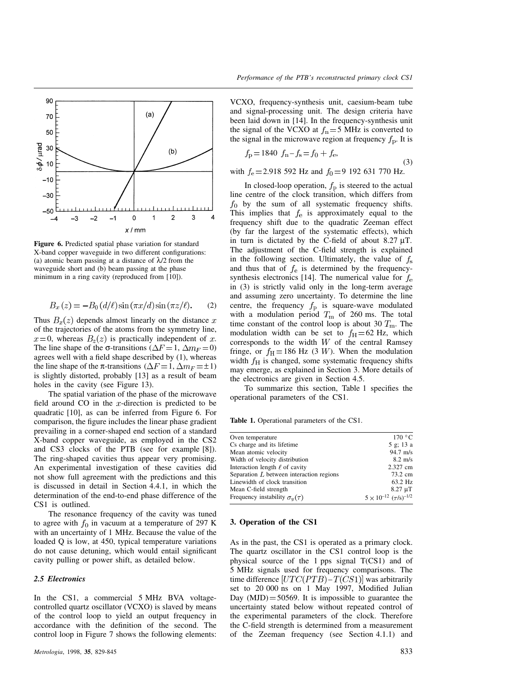

**Figure 6.** Predicted spatial phase variation for standard X-band copper waveguide in two different configurations: (a) atomic beam passing at a distance of  $\lambda/2$  from the waveguide short and (b) beam passing at the phase minimum in a ring cavity (reproduced from [10]).

$$
B_x(z) = -B_0(d/\ell)\sin(\pi x/d)\sin(\pi z/\ell). \tag{2}
$$

Thus  $B_x(z)$  depends almost linearly on the distance x of the trajectories of the atoms from the symmetry line,  $x=0$ , whereas  $B_z(z)$  is practically independent of x. The line shape of the  $\sigma$ -transitions ( $\Delta F = 1$ ,  $\Delta m_F = 0$ ) agrees well with a field shape described by (1), whereas the line shape of the  $\pi$ -transitions ( $\Delta F = 1, \Delta m_F = \pm 1$ ) is slightly distorted, probably [13] as a result of beam holes in the cavity (see Figure 13).

The spatial variation of the phase of the microwave field around CO in the  $x$ -direction is predicted to be quadratic [10], as can be inferred from Figure 6. For comparison, the figure includes the linear phase gradient prevailing in a corner-shaped end section of a standard X-band copper waveguide, as employed in the CS2 and CS3 clocks of the PTB (see for example [8]). The ring-shaped cavities thus appear very promising. An experimental investigation of these cavities did not show full agreement with the predictions and this is discussed in detail in Section 4.4.1, in which the determination of the end-to-end phase difference of the CS1 is outlined.

The resonance frequency of the cavity was tuned to agree with  $f_0$  in vacuum at a temperature of 297 K with an uncertainty of 1 MHz. Because the value of the loaded Q is low, at 450, typical temperature variations do not cause detuning, which would entail significant cavity pulling or power shift, as detailed below.

## *2.5 Electronics*

In the CS1, a commercial 5 MHz BVA voltagecontrolled quartz oscillator (VCXO) is slaved by means of the control loop to yield an output frequency in accordance with the definition of the second. The control loop in Figure 7 shows the following elements:

VCXO, frequency-synthesis unit, caesium-beam tube and signal-processing unit. The design criteria have been laid down in [14]. In the frequency-synthesis unit the signal of the VCXO at  $f_n = 5$  MHz is converted to the signal in the microwave region at frequency  $f<sub>p</sub>$ . It is

$$
f_{\rm p} = 1840 \, f_{\rm n} - f_{\rm s} = f_0 + f_{\rm e},\tag{3}
$$

with  $f_e = 2.918$  592 Hz and  $f_0 = 9$  192 631 770 Hz.

In closed-loop operation,  $f<sub>p</sub>$  is steered to the actual line centre of the clock transition, which differs from  $f_0$  by the sum of all systematic frequency shifts. This implies that  $f_e$  is approximately equal to the frequency shift due to the quadratic Zeeman effect (by far the largest of the systematic effects), which in turn is dictated by the C-field of about  $8.27 \mu$ T. The adjustment of the C-field strength is explained in the following section. Ultimately, the value of  $f_s$ and thus that of  $f_e$  is determined by the frequencysynthesis electronics [14]. The numerical value for  $f_e$ in (3) is strictly valid only in the long-term average and assuming zero uncertainty. To determine the line centre, the frequency  $f<sub>p</sub>$  is square-wave modulated with a modulation period  $T_{\text{m}}$  of 260 ms. The total time constant of the control loop is about 30  $T_{\text{m}}$ . The modulation width can be set to  $f_{\text{H}} = 62$  Hz, which corresponds to the width  $W$  of the central Ramsey fringe, or  $f_{\text{H}} = 186 \text{ Hz}$  (3 *W*). When the modulation width  $f_{\rm H}$  is changed, some systematic frequency shifts may emerge, as explained in Section 3. More details of the electronics are given in Section 4.5.

To summarize this section, Table 1 specifies the operational parameters of the CS1.

**Table 1.** Operational parameters of the CS1.

| Oven temperature                           | 170 °C                                |
|--------------------------------------------|---------------------------------------|
| Cs charge and its lifetime                 | 5 g; 13 a                             |
| Mean atomic velocity                       | $94.7 \text{ m/s}$                    |
| Width of velocity distribution             | $8.2 \text{ m/s}$                     |
| Interaction length $\ell$ of cavity        | 2.327 cm                              |
| Separation $L$ between interaction regions | 73.2 cm                               |
| Linewidth of clock transition              | 63.2 Hz                               |
| Mean C-field strength                      | $8.27 \text{ }\mu\text{T}$            |
| Frequency instability $\sigma_u(\tau)$     | $5 \times 10^{-12}$ $(\tau/s)^{-1/2}$ |

## **3. Operation of the CS1**

As in the past, the CS1 is operated as a primary clock. The quartz oscillator in the CS1 control loop is the physical source of the 1 pps signal T(CS1) and of 5 MHz signals used for frequency comparisons. The time difference  $[UTC(PTB) - T(CS1)]$  was arbitrarily set to 20 000 ns on 1 May 1997, Modified Julian Day  $(MJD) = 50569$ . It is impossible to guarantee the uncertainty stated below without repeated control of the experimental parameters of the clock. Therefore the C-field strength is determined from a measurement of the Zeeman frequency (see Section 4.1.1) and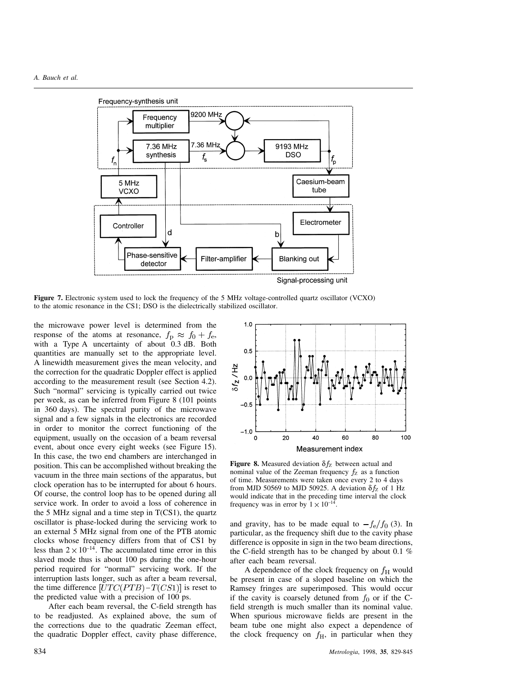

**Figure 7.** Electronic system used to lock the frequency of the 5 MHz voltage-controlled quartz oscillator (VCXO) to the atomic resonance in the CS1; DSO is the dielectrically stabilized oscillator.

the microwave power level is determined from the response of the atoms at resonance,  $f_p \approx f_0 + f_e$ , with a Type A uncertainty of about 0.3 dB. Both quantities are manually set to the appropriate level. A linewidth measurement gives the mean velocity, and the correction for the quadratic Doppler effect is applied according to the measurement result (see Section 4.2). Such "normal" servicing is typically carried out twice per week, as can be inferred from Figure 8 (101 points in 360 days). The spectral purity of the microwave signal and a few signals in the electronics are recorded in order to monitor the correct functioning of the equipment, usually on the occasion of a beam reversal event, about once every eight weeks (see Figure 15). In this case, the two end chambers are interchanged in position. This can be accomplished without breaking the vacuum in the three main sections of the apparatus, but clock operation has to be interrupted for about 6 hours. Of course, the control loop has to be opened during all service work. In order to avoid a loss of coherence in the 5 MHz signal and a time step in  $T(CS1)$ , the quartz oscillator is phase-locked during the servicing work to an external 5 MHz signal from one of the PTB atomic clocks whose frequency differs from that of CS1 by less than  $2 \times 10^{-14}$ . The accumulated time error in this slaved mode thus is about 100 ps during the one-hour period required for "normal" servicing work. If the interruption lasts longer, such as after a beam reversal, the time difference  $[UTC(PTB) - T(CS1)]$  is reset to the predicted value with a precision of 100 ps.

After each beam reversal, the C-field strength has to be readjusted. As explained above, the sum of the corrections due to the quadratic Zeeman effect, the quadratic Doppler effect, cavity phase difference,



**Figure 8.** Measured deviation  $\delta f_{\rm Z}$  between actual and nominal value of the Zeeman frequency  $f_Z$  as a function of time. Measurements were taken once every 2 to 4 days from MJD 50569 to MJD 50925. A deviation  $\delta f_Z$  of 1 Hz would indicate that in the preceding time interval the clock frequency was in error by  $1 \times 10^{-14}$ 

and gravity, has to be made equal to  $-f_e/f_0$  (3). In particular, as the frequency shift due to the cavity phase difference is opposite in sign in the two beam directions, the C-field strength has to be changed by about 0.1 % after each beam reversal.

A dependence of the clock frequency on  $f<sub>H</sub>$  would be present in case of a sloped baseline on which the Ramsey fringes are superimposed. This would occur if the cavity is coarsely detuned from  $f_0$  or if the Cfield strength is much smaller than its nominal value. When spurious microwave fields are present in the beam tube one might also expect a dependence of the clock frequency on  $f_H$ , in particular when they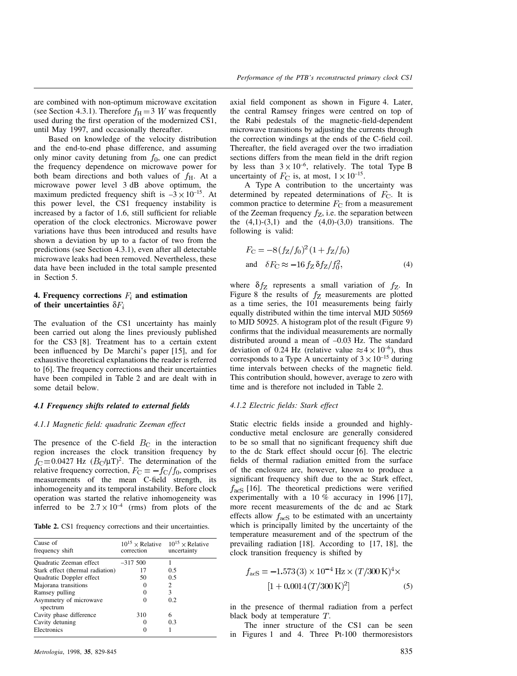are combined with non-optimum microwave excitation (see Section 4.3.1). Therefore  $f_{\rm H} = 3$  W was frequently used during the first operation of the modernized CS1, until May 1997, and occasionally thereafter.

Based on knowledge of the velocity distribution and the end-to-end phase difference, and assuming only minor cavity detuning from  $f_0$ , one can predict the frequency dependence on microwave power for both beam directions and both values of  $f_{\rm H}$ . At a microwave power level 3 dB above optimum, the maximum predicted frequency shift is  $-3 \times 10^{-15}$ . At this power level, the CS1 frequency instability is increased by a factor of 1.6, still sufficient for reliable operation of the clock electronics. Microwave power variations have thus been introduced and results have shown a deviation by up to a factor of two from the predictions (see Section 4.3.1), even after all detectable microwave leaks had been removed. Nevertheless, these data have been included in the total sample presented in Section 5.

# **4. Frequency corrections**  $F_i$  and estimation **of their uncertainties**  $\delta F_i$

The evaluation of the CS1 uncertainty has mainly been carried out along the lines previously published for the CS3 [8]. Treatment has to a certain extent been influenced by De Marchi's paper [15], and for exhaustive theoretical explanations the reader is referred to [6]. The frequency corrections and their uncertainties have been compiled in Table 2 and are dealt with in some detail below.

# *4.1 Frequency shifts related to external fields*

# *4.1.1 Magnetic field: quadratic Zeeman effect*

The presence of the C-field  $B<sub>C</sub>$  in the interaction region increases the clock transition frequency by  $f_C = 0.0427$  Hz  $(B_C/\mu T)^2$ . The determination of the relative frequency correction,  $F_C = -f_C/f_0$ , comprises measurements of the mean C-field strength, its inhomogeneity and its temporal instability. Before clock operation was started the relative inhomogeneity was inferred to be  $2.7 \times 10^{-4}$  (rms) from plots of the

|  |  |  |  |  |  |  | <b>Table 2.</b> CS1 frequency corrections and their uncertainties. |
|--|--|--|--|--|--|--|--------------------------------------------------------------------|
|--|--|--|--|--|--|--|--------------------------------------------------------------------|

| Cause of<br>frequency shift        | correction | $10^{15}$ × Relative $10^{15}$ × Relative<br>uncertainty |
|------------------------------------|------------|----------------------------------------------------------|
| Quadratic Zeeman effect            | $-317,500$ |                                                          |
| Stark effect (thermal radiation)   | 17         | 0.5                                                      |
| Quadratic Doppler effect           | 50         | 0.5                                                      |
| Majorana transitions               | 0          | 2                                                        |
| Ramsey pulling                     | 0          | 3                                                        |
| Asymmetry of microwave<br>spectrum | 0          | 0.2                                                      |
| Cavity phase difference            | 310        | 6                                                        |
| Cavity detuning                    | 0          | 0.3                                                      |
| Electronics                        |            |                                                          |

axial field component as shown in Figure 4. Later, the central Ramsey fringes were centred on top of the Rabi pedestals of the magnetic-field-dependent microwave transitions by adjusting the currents through the correction windings at the ends of the C-field coil. Thereafter, the field averaged over the two irradiation sections differs from the mean field in the drift region by less than  $3 \times 10^{-6}$ , relatively. The total Type B uncertainty of  $F_C$  is, at most,  $1 \times 10^{-15}$ .

A Type A contribution to the uncertainty was determined by repeated determinations of  $F_{\rm C}$ . It is common practice to determine  $F_C$  from a measurement of the Zeeman frequency  $f_Z$ , i.e. the separation between the  $(4,1)-(3,1)$  and the  $(4,0)-(3,0)$  transitions. The following is valid:

$$
F_{\rm C} = -8(f_Z/f_0)^2 (1 + f_Z/f_0)
$$
  
and  $\delta F_{\rm C} \approx -16 f_Z \delta f_Z/f_0^2,$  (4)

where  $\delta f_Z$  represents a small variation of  $f_Z$ . In Figure 8 the results of  $f_Z$  measurements are plotted as a time series, the 101 measurements being fairly equally distributed within the time interval MJD 50569 to MJD 50925. A histogram plot of the result (Figure 9) confirms that the individual measurements are normally distributed around a mean of –0.03 Hz. The standard deviation of 0.24 Hz (relative value  $\approx 4 \times 10^{-6}$ ), thus corresponds to a Type A uncertainty of  $3 \times 10^{-15}$  during time intervals between checks of the magnetic field. This contribution should, however, average to zero with time and is therefore not included in Table 2.

#### *4.1.2 Electric fields: Stark effect*

Static electric fields inside a grounded and highlyconductive metal enclosure are generally considered to be so small that no significant frequency shift due to the dc Stark effect should occur [6]. The electric fields of thermal radiation emitted from the surface of the enclosure are, however, known to produce a significant frequency shift due to the ac Stark effect,  $f_{\text{acs}}$  [16]. The theoretical predictions were verified experimentally with a 10 % accuracy in 1996 [17], more recent measurements of the dc and ac Stark effects allow  $f_{\text{acS}}$  to be estimated with an uncertainty which is principally limited by the uncertainty of the temperature measurement and of the spectrum of the prevailing radiation [18]. According to [17, 18], the clock transition frequency is shifted by

$$
f_{\text{acS}} = -1.573(3) \times 10^{-4} \,\text{Hz} \times (T/300 \,\text{K})^4 \times
$$
  
[1 + 0.0014 (T/300 \,\text{K})^2] (5)

in the presence of thermal radiation from a perfect black body at temperature  $T$ .

The inner structure of the CS1 can be seen in Figures 1 and 4. Three Pt-100 thermoresistors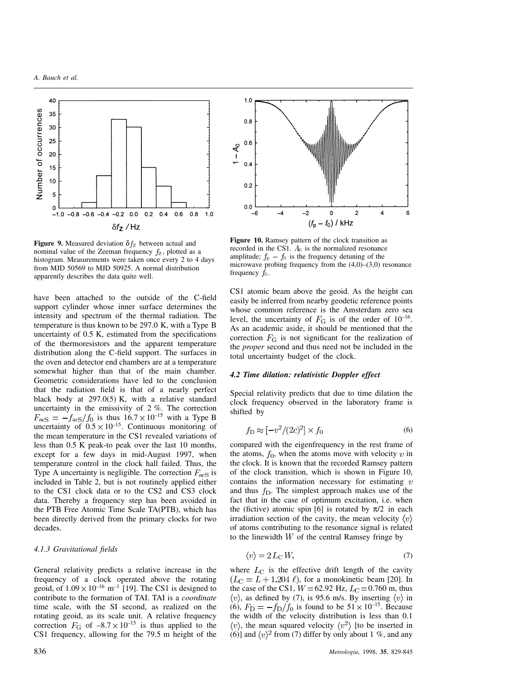

**Figure 9.** Measured deviation  $\delta f_{\rm Z}$  between actual and nominal value of the Zeeman frequency  $f_Z$ , plotted as a histogram. Measurements were taken once every 2 to 4 days from MJD 50569 to MJD 50925. A normal distribution apparently describes the data quite well.

have been attached to the outside of the C-field support cylinder whose inner surface determines the intensity and spectrum of the thermal radiation. The temperature is thus known to be 297.0 K, with a Type B uncertainty of 0.5 K, estimated from the specifications of the thermoresistors and the apparent temperature distribution along the C-field support. The surfaces in the oven and detector end chambers are at a temperature somewhat higher than that of the main chamber. Geometric considerations have led to the conclusion that the radiation field is that of a nearly perfect black body at 297.0(5) K, with a relative standard uncertainty in the emissivity of 2 %. The correction  $F_{\text{acs}} = -f_{\text{acs}}/f_0$  is thus  $16.7 \times 10^{-15}$  with a Type B uncertainty of  $0.5 \times 10^{-15}$ . Continuous monitoring of the mean temperature in the CS1 revealed variations of less than 0.5 K peak-to peak over the last 10 months, except for a few days in mid-August 1997, when temperature control in the clock hall failed. Thus, the Type A uncertainty is negligible. The correction  $F_{\text{acs}}$  is included in Table 2, but is not routinely applied either to the CS1 clock data or to the CS2 and CS3 clock data. Thereby a frequency step has been avoided in the PTB Free Atomic Time Scale TA(PTB), which has been directly derived from the primary clocks for two decades.

## *4.1.3 Gravitational fields*

General relativity predicts a relative increase in the frequency of a clock operated above the rotating geoid, of  $1.09 \times 10^{-16}$  m<sup>-1</sup> [19]. The CS1 is designed to contribute to the formation of TAI. TAI is a *coordinate* time scale, with the SI second, as realized on the rotating geoid, as its scale unit. A relative frequency correction  $F_G$  of  $-8.7 \times 10^{-15}$  is thus applied to the CS1 frequency, allowing for the 79.5 m height of the



**Figure 10.** Ramsey pattern of the clock transition as recorded in the CS1.  $A_0$  is the normalized resonance amplitude;  $f_{\rm p} - f_0$  is the frequency detuning of the microwave probing frequency from the (4,0)–(3,0) resonance frequency  $f_0$ .

CS1 atomic beam above the geoid. As the height can easily be inferred from nearby geodetic reference points whose common reference is the Amsterdam zero sea level, the uncertainty of  $F<sub>G</sub>$  is of the order of  $10^{-16}$ . As an academic aside, it should be mentioned that the correction  $F<sub>G</sub>$  is not significant for the realization of the *proper* second and thus need not be included in the total uncertainty budget of the clock.

## *4.2 Time dilation: relativistic Doppler effect*

Special relativity predicts that due to time dilation the clock frequency observed in the laboratory frame is shifted by

$$
f_{\rm D} \approx [-v^2/(2c)^2] \times f_0 \tag{6}
$$

compared with the eigenfrequency in the rest frame of the atoms,  $f_0$ , when the atoms move with velocity v in the clock. It is known that the recorded Ramsey pattern of the clock transition, which is shown in Figure 10, contains the information necessary for estimating  $v$ and thus  $f<sub>D</sub>$ . The simplest approach makes use of the fact that in the case of optimum excitation, i.e. when the (fictive) atomic spin [6] is rotated by  $\pi/2$  in each irradiation section of the cavity, the mean velocity  $\langle v \rangle$ of atoms contributing to the resonance signal is related to the linewidth  $W$  of the central Ramsey fringe by

$$
\langle v \rangle = 2L_{\rm C}W,\tag{7}
$$

where  $L_{\text{C}}$  is the effective drift length of the cavity  $(L<sub>C</sub> = L + 1.204 \ell)$ , for a monokinetic beam [20]. In the case of the CS1,  $W = 62.92$  Hz,  $L<sub>C</sub> = 0.760$  m, thus  $\langle v \rangle$ , as defined by (7), is 95.6 m/s. By inserting  $\langle v \rangle$  in (6),  $F_D = -f_D/f_0$  is found to be  $51 \times 10^{-15}$ . Because the width of the velocity distribution is less than 0.1  $\langle v \rangle$ , the mean squared velocity  $\langle v^2 \rangle$  [to be inserted in (6)] and  $\langle v \rangle^2$  from (7) differ by only about 1 %, and any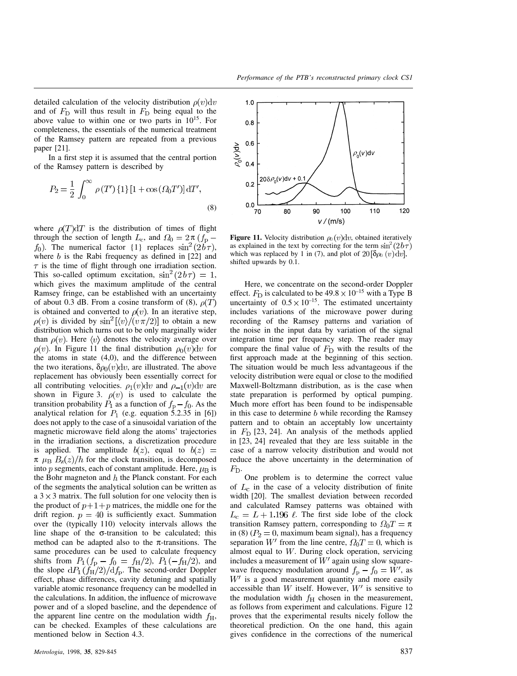detailed calculation of the velocity distribution  $\rho(v)dv$ and of  $F<sub>D</sub>$  will thus result in  $F<sub>D</sub>$  being equal to the above value to within one or two parts in  $10^{15}$ . For completeness, the essentials of the numerical treatment of the Ramsey pattern are repeated from a previous paper [21].

In a first step it is assumed that the central portion of the Ramsey pattern is described by

$$
P_2 = \frac{1}{2} \int_0^\infty \rho(T') \{1\} [1 + \cos(\varOmega_0 T')] dT',\tag{8}
$$

where  $\rho(T)dT$  is the distribution of times of flight through the section of length  $L_c$ , and  $\Omega_0 = 2\pi (f_p$  $f_0$ ). The numerical factor {1} replaces  $\sin^2(2b\tau)$ , where  $b$  is the Rabi frequency as defined in [22] and  $\tau$  is the time of flight through one irradiation section. This so-called optimum excitation,  $\sin^2(2b\tau) = 1$ , which gives the maximum amplitude of the central Ramsey fringe, can be established with an uncertainty of about 0.3 dB. From a cosine transform of (8),  $\rho(T)$ is obtained and converted to  $\rho(v)$ . In an iterative step,  $\rho(v)$  is divided by  $\sin^2(\langle v \rangle / (v \pi/2))$  to obtain a new distribution which turns out to be only marginally wider than  $\rho(v)$ . Here  $\langle v \rangle$  denotes the velocity average over  $\rho(v)$ . In Figure 11 the final distribution  $\rho_0(v)dv$  for the atoms in state (4,0), and the difference between the two iterations,  $\delta \rho_0(v) dv$ , are illustrated. The above replacement has obviously been essentially correct for all contributing velocities.  $\rho_1(v)dv$  and  $\rho_{-1}(v)dv$  are shown in Figure 3.  $\rho(v)$  is used to calculate the transition probability  $P_1$  as a function of  $f_p - f_0$ . As the analytical relation for  $P_1$  (e.g. equation 5.2.35 in [6]) does not apply to the case of a sinusoidal variation of the magnetic microwave field along the atoms' trajectories in the irradiation sections, a discretization procedure is applied. The amplitude  $b(z)$ , equal to  $b(z)$  =  $\pi$   $\mu_{\rm B}$   $B_z(z)/h$  for the clock transition, is decomposed into p segments, each of constant amplitude. Here,  $\mu_B$  is the Bohr magneton and  $h$  the Planck constant. For each of the segments the analytical solution can be written as a  $3 \times 3$  matrix. The full solution for one velocity then is the product of  $p+1+p$  matrices, the middle one for the drift region.  $p = 40$  is sufficiently exact. Summation over the (typically 110) velocity intervals allows the line shape of the  $\sigma$ -transition to be calculated; this method can be adapted also to the  $\pi$ -transitions. The same procedures can be used to calculate frequency shifts from  $P_1(f_p - f_0 = f_H/2)$ ,  $P_1(-f_H/2)$ , and the slope  $dP_1(f_H/2)/df_p$ . The second-order Doppler effect, phase differences, cavity detuning and spatially variable atomic resonance frequency can be modelled in the calculations. In addition, the influence of microwave power and of a sloped baseline, and the dependence of the apparent line centre on the modulation width  $f_{\rm H}$ , can be checked. Examples of these calculations are mentioned below in Section 4.3.



**Figure 11.** Velocity distribution  $\rho_0(v)dv$ , obtained iteratively as explained in the text by correcting for the term  $\sin^2(2b\tau)$ which was replaced by 1 in (7), and plot of  $20\left[\delta\rho_0\left(v\right)\mathrm{d}v\right]$ , shifted upwards by 0.1.

Here, we concentrate on the second-order Doppler effect.  $F_D$  is calculated to be  $49.8 \times 10^{-15}$  with a Type B uncertainty of  $0.5 \times 10^{-15}$ . The estimated uncertainty includes variations of the microwave power during recording of the Ramsey patterns and variation of the noise in the input data by variation of the signal integration time per frequency step. The reader may compare the final value of  $F<sub>D</sub>$  with the results of the first approach made at the beginning of this section. The situation would be much less advantageous if the velocity distribution were equal or close to the modified Maxwell-Boltzmann distribution, as is the case when state preparation is performed by optical pumping. Much more effort has been found to be indispensable in this case to determine  $b$  while recording the Ramsey pattern and to obtain an acceptably low uncertainty in  $F<sub>D</sub>$  [23, 24]. An analysis of the methods applied in [23, 24] revealed that they are less suitable in the case of a narrow velocity distribution and would not reduce the above uncertainty in the determination of  $F_{\rm D}$ .

One problem is to determine the correct value of  $L_c$  in the case of a velocity distribution of finite width [20]. The smallest deviation between recorded and calculated Ramsey patterns was obtained with  $L_c = L + 1.196 \ell$ . The first side lobe of the clock transition Ramsey pattern, corresponding to  $\Omega_0 T = \pi$ in (8) ( $P_2 = 0$ , maximum beam signal), has a frequency separation W' from the line centre,  $\Omega_0 T = 0$ , which is almost equal to  $W$ . During clock operation, servicing includes a measurement of  $W'$  again using slow squarewave frequency modulation around  $f_{\rm p} - f_0 = W'$ , as  $W'$  is a good measurement quantity and more easily accessible than  $W$  itself. However,  $W'$  is sensitive to the modulation width  $f_H$  chosen in the measurement, as follows from experiment and calculations. Figure 12 proves that the experimental results nicely follow the theoretical prediction. On the one hand, this again gives confidence in the corrections of the numerical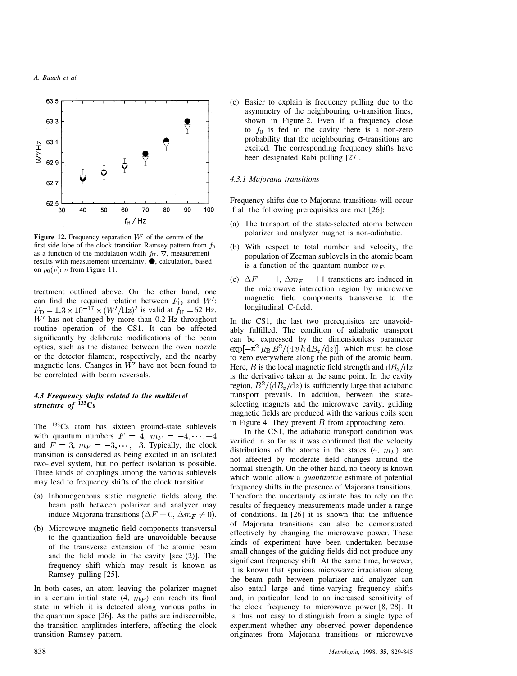

**Figure 12.** Frequency separation  $W'$  of the centre of the first side lobe of the clock transition Ramsey pattern from  $f_0$ as a function of the modulation width  $f_{\rm H}$ .  $\nabla$ , measurement results with measurement uncertainty;  $\bullet$ , calculation, based on  $\rho_0(v)dv$  from Figure 11.

treatment outlined above. On the other hand, one can find the required relation between  $F_D$  and  $W'$ :  $F_{\rm D} = 1.3 \times 10^{-17} \times (W'/\text{Hz})^2$  is valid at  $f_{\rm H} = 62$  Hz.  $W'$  has not changed by more than 0.2 Hz throughout routine operation of the CS1. It can be affected significantly by deliberate modifications of the beam optics, such as the distance between the oven nozzle or the detector filament, respectively, and the nearby magnetic lens. Changes in  $W'$  have not been found to be correlated with beam reversals.

# *4.3 Frequency shifts related to the multilevel structure of* **133Cs**

The <sup>133</sup>Cs atom has sixteen ground-state sublevels with quantum numbers  $F = 4$ ,  $m_F = -4, \dots, +4$ and  $\overline{F} = 3$ ,  $m_F = -3, \dots, +3$ . Typically, the clock transition is considered as being excited in an isolated two-level system, but no perfect isolation is possible. Three kinds of couplings among the various sublevels may lead to frequency shifts of the clock transition.

- (a) Inhomogeneous static magnetic fields along the beam path between polarizer and analyzer may induce Majorana transitions  $(\Delta F = 0, \Delta m_F \neq 0)$ .
- (b) Microwave magnetic field components transversal to the quantization field are unavoidable because of the transverse extension of the atomic beam and the field mode in the cavity [see (2)]. The frequency shift which may result is known as Ramsey pulling [25].

In both cases, an atom leaving the polarizer magnet in a certain initial state  $(4, m_F)$  can reach its final state in which it is detected along various paths in the quantum space [26]. As the paths are indiscernible, the transition amplitudes interfere, affecting the clock transition Ramsey pattern.

(c) Easier to explain is frequency pulling due to the asymmetry of the neighbouring  $\sigma$ -transition lines, shown in Figure 2. Even if a frequency close to  $f_0$  is fed to the cavity there is a non-zero probability that the neighbouring  $\sigma$ -transitions are excited. The corresponding frequency shifts have been designated Rabi pulling [27].

### *4.3.1 Majorana transitions*

Frequency shifts due to Majorana transitions will occur if all the following prerequisites are met [26]:

- (a) The transport of the state-selected atoms between polarizer and analyzer magnet is non-adiabatic.
- (b) With respect to total number and velocity, the population of Zeeman sublevels in the atomic beam is a function of the quantum number  $m_F$ .
- (c)  $\Delta F = \pm 1$ ,  $\Delta m_F = \pm 1$  transitions are induced in the microwave interaction region by microwave magnetic field components transverse to the longitudinal C-field.

In the CS1, the last two prerequisites are unavoidably fulfilled. The condition of adiabatic transport can be expressed by the dimensionless parameter  $\exp[-\pi^2 \mu_B B^2/(4 v \dot{h} dB_z/dz)]$ , which must be close to zero everywhere along the path of the atomic beam. Here, B is the local magnetic field strength and  $dB_z/dz$ is the derivative taken at the same point. In the cavity region,  $B^2/(\mathrm{d}B_z/\mathrm{d}z)$  is sufficiently large that adiabatic transport prevails. In addition, between the stateselecting magnets and the microwave cavity, guiding magnetic fields are produced with the various coils seen in Figure 4. They prevent  $B$  from approaching zero.

In the CS1, the adiabatic transport condition was verified in so far as it was confirmed that the velocity distributions of the atoms in the states  $(4, m_F)$  are not affected by moderate field changes around the normal strength. On the other hand, no theory is known which would allow a *quantitative* estimate of potential frequency shifts in the presence of Majorana transitions. Therefore the uncertainty estimate has to rely on the results of frequency measurements made under a range of conditions. In [26] it is shown that the influence of Majorana transitions can also be demonstrated effectively by changing the microwave power. These kinds of experiment have been undertaken because small changes of the guiding fields did not produce any significant frequency shift. At the same time, however, it is known that spurious microwave irradiation along the beam path between polarizer and analyzer can also entail large and time-varying frequency shifts and, in particular, lead to an increased sensitivity of the clock frequency to microwave power [8, 28]. It is thus not easy to distinguish from a single type of experiment whether any observed power dependence originates from Majorana transitions or microwave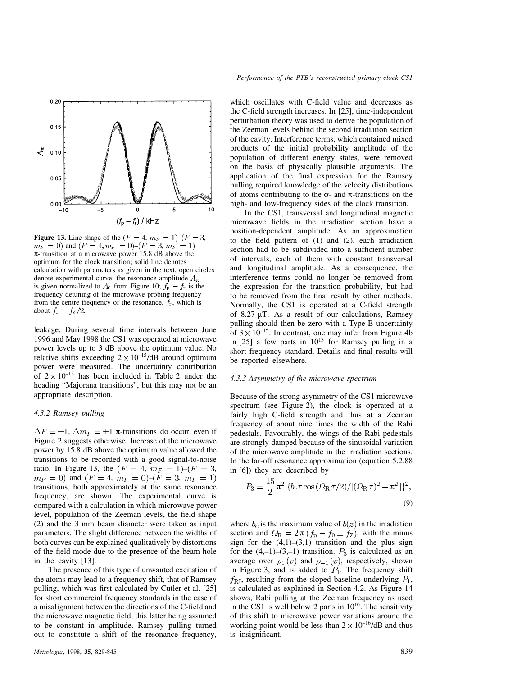

**Figure 13.** Line shape of the  $(F = 4, m_F = 1)$ – $(F = 3,$  $m_F = 0$ ) and  $(F = 4, m_F = 0)$  -  $(F = 3, m_F = 1)$  $\pi$ -transition at a microwave power 15.8 dB above the optimum for the clock transition; solid line denotes calculation with parameters as given in the text, open circles denote experimental curve; the resonance amplitude  $A_{\pi}$ is given normalized to  $A_0$  from Figure 10;  $f<sub>p</sub> - f<sub>r</sub>$  is the frequency detuning of the microwave probing frequency from the centre frequency of the resonance,  $f_r$ , which is about  $f_0 + f_Z/2$ .

leakage. During several time intervals between June 1996 and May 1998 the CS1 was operated at microwave power levels up to 3 dB above the optimum value. No relative shifts exceeding  $2 \times 10^{-15}$ /dB around optimum power were measured. The uncertainty contribution of  $2 \times 10^{-15}$  has been included in Table 2 under the heading "Majorana transitions", but this may not be an appropriate description.

# *4.3.2 Ramsey pulling*

 $\Delta F = \pm 1$ ,  $\Delta m_F = \pm 1$  π-transitions do occur, even if Figure 2 suggests otherwise. Increase of the microwave power by 15.8 dB above the optimum value allowed the transitions to be recorded with a good signal-to-noise ratio. In Figure 13, the  $(F = 4, m_F = 1)$ - $(F = 3,$  $m_F = 0$ ) and  $(F = 4, m_F = 0)$ - $(F = 3, m_F = 1)$ transitions, both approximately at the same resonance frequency, are shown. The experimental curve is compared with a calculation in which microwave power level, population of the Zeeman levels, the field shape (2) and the 3 mm beam diameter were taken as input parameters. The slight difference between the widths of both curves can be explained qualitatively by distortions of the field mode due to the presence of the beam hole in the cavity [13].

The presence of this type of unwanted excitation of the atoms may lead to a frequency shift, that of Ramsey pulling, which was first calculated by Cutler et al. [25] for short commercial frequency standards in the case of a misalignment between the directions of the C-field and the microwave magnetic field, this latter being assumed to be constant in amplitude. Ramsey pulling turned out to constitute a shift of the resonance frequency,

which oscillates with C-field value and decreases as the C-field strength increases. In [25], time-independent perturbation theory was used to derive the population of the Zeeman levels behind the second irradiation section of the cavity. Interference terms, which contained mixed products of the initial probability amplitude of the population of different energy states, were removed on the basis of physically plausible arguments. The application of the final expression for the Ramsey pulling required knowledge of the velocity distributions of atoms contributing to the  $\sigma$ - and  $\pi$ -transitions on the high- and low-frequency sides of the clock transition.

In the CS1, transversal and longitudinal magnetic microwave fields in the irradiation section have a position-dependent amplitude. As an approximation to the field pattern of (1) and (2), each irradiation section had to be subdivided into a sufficient number of intervals, each of them with constant transversal and longitudinal amplitude. As a consequence, the interference terms could no longer be removed from the expression for the transition probability, but had to be removed from the final result by other methods. Normally, the CS1 is operated at a C-field strength of 8.27 µT. As a result of our calculations, Ramsey pulling should then be zero with a Type B uncertainty of  $3 \times 10^{-15}$ . In contrast, one may infer from Figure 4b in  $[25]$  a few parts in  $10^{13}$  for Ramsey pulling in a short frequency standard. Details and final results will be reported elsewhere.

## *4.3.3 Asymmetry of the microwave spectrum*

Because of the strong asymmetry of the CS1 microwave spectrum (see Figure 2), the clock is operated at a fairly high C-field strength and thus at a Zeeman frequency of about nine times the width of the Rabi pedestals. Favourably, the wings of the Rabi pedestals are strongly damped because of the sinusoidal variation of the microwave amplitude in the irradiation sections. In the far-off resonance approximation (equation 5.2.88 in [6]) they are described by

$$
P_3 = \frac{15}{2} \pi^2 \left\{ b_c \tau \cos \left( \Omega_{\rm R} \tau / 2 \right) / \left[ (\Omega_{\rm R} \tau)^2 - \pi^2 \right] \right\}^2,
$$
\n(9)

where  $b_c$  is the maximum value of  $b(z)$  in the irradiation section and  $\Omega_{\rm R} = 2\pi (f_{\rm p} - f_0 \pm f_{\rm Z})$ , with the minus sign for the  $(4,1)$ – $(3,1)$  transition and the plus sign for the  $(4,-1)-(3,-1)$  transition.  $P_3$  is calculated as an average over  $\rho_1(v)$  and  $\rho_{-1}(v)$ , respectively, shown in Figure 3, and is added to  $P_1$ . The frequency shift  $f_{\rm RI}$ , resulting from the sloped baseline underlying  $P_1$ , is calculated as explained in Section 4.2. As Figure 14 shows, Rabi pulling at the Zeeman frequency as used in the CS1 is well below 2 parts in  $10^{16}$ . The sensitivity of this shift to microwave power variations around the working point would be less than  $2 \times 10^{-16}$ /dB and thus is insignificant.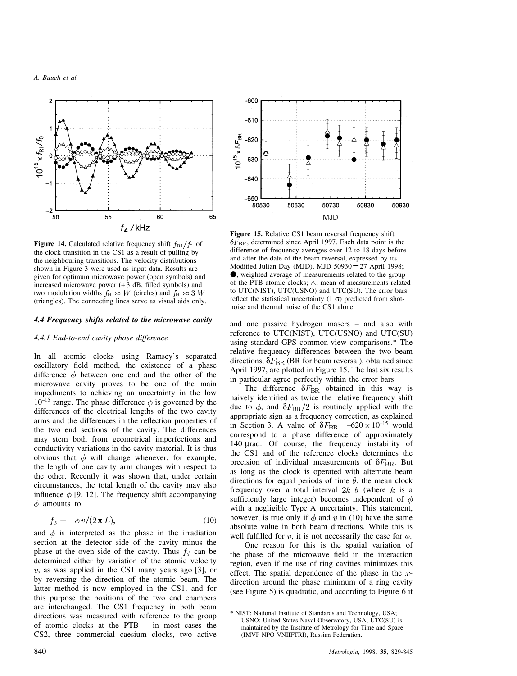

**Figure 14.** Calculated relative frequency shift  $f_{\text{RI}}/f_0$  of the clock transition in the CS1 as a result of pulling by the neighbouring transitions. The velocity distributions shown in Figure 3 were used as input data. Results are given for optimum microwave power (open symbols) and increased microwave power  $(+3$  dB, filled symbols) and two modulation widths  $f_H \approx W$  (circles) and  $f_H \approx 3$  W (triangles). The connecting lines serve as visual aids only.

## *4.4 Frequency shifts related to the microwave cavity*

# *4.4.1 End-to-end cavity phase difference*

In all atomic clocks using Ramsey's separated oscillatory field method, the existence of a phase difference  $\phi$  between one end and the other of the microwave cavity proves to be one of the main impediments to achieving an uncertainty in the low  $10^{-15}$  range. The phase difference  $\phi$  is governed by the differences of the electrical lengths of the two cavity arms and the differences in the reflection properties of the two end sections of the cavity. The differences may stem both from geometrical imperfections and conductivity variations in the cavity material. It is thus obvious that  $\phi$  will change whenever, for example, the length of one cavity arm changes with respect to the other. Recently it was shown that, under certain circumstances, the total length of the cavity may also influence  $\phi$  [9, 12]. The frequency shift accompanying  $\phi$  amounts to

$$
f_{\phi} = -\phi \, v / (2 \pi L),\tag{10}
$$

and  $\phi$  is interpreted as the phase in the irradiation section at the detector side of the cavity minus the phase at the oven side of the cavity. Thus  $f_{\phi}$  can be determined either by variation of the atomic velocity  $v$ , as was applied in the CS1 many years ago [3], or by reversing the direction of the atomic beam. The latter method is now employed in the CS1, and for this purpose the positions of the two end chambers are interchanged. The CS1 frequency in both beam directions was measured with reference to the group of atomic clocks at the PTB – in most cases the CS2, three commercial caesium clocks, two active



**Figure 15.** Relative CS1 beam reversal frequency shift  $\delta F_{\rm BR}$ , determined since April 1997. Each data point is the difference of frequency averages over 12 to 18 days before and after the date of the beam reversal, expressed by its Modified Julian Day (MJD). MJD  $50930 = 27$  April 1998; , weighted average of measurements related to the group of the PTB atomic clocks;  $\triangle$ , mean of measurements related to UTC(NIST), UTC(USNO) and UTC(SU). The error bars reflect the statistical uncertainty  $(1 \sigma)$  predicted from shotnoise and thermal noise of the CS1 alone.

and one passive hydrogen masers – and also with reference to UTC(NIST), UTC(USNO) and UTC(SU) using standard GPS common-view comparisons.\* The relative frequency differences between the two beam directions,  $\delta F_{\rm BR}$  (BR for beam reversal), obtained since April 1997, are plotted in Figure 15. The last six results in particular agree perfectly within the error bars.

The difference  $\delta F_{\text{BR}}$  obtained in this way is naively identified as twice the relative frequency shift due to  $\phi$ , and  $\delta F_{\rm BR}/2$  is routinely applied with the appropriate sign as a frequency correction, as explained in Section 3. A value of  $\delta F_{\text{BR}} = -620 \times 10^{-15}$  would correspond to a phase difference of approximately 140 µrad. Of course, the frequency instability of the CS1 and of the reference clocks determines the precision of individual measurements of  $\delta F_{\rm BR}$ . But as long as the clock is operated with alternate beam directions for equal periods of time  $\theta$ , the mean clock frequency over a total interval  $2k \theta$  (where k is a sufficiently large integer) becomes independent of  $\phi$ with a negligible Type A uncertainty. This statement, however, is true only if  $\phi$  and v in (10) have the same absolute value in both beam directions. While this is well fulfilled for v, it is not necessarily the case for  $\phi$ .

One reason for this is the spatial variation of the phase of the microwave field in the interaction region, even if the use of ring cavities minimizes this effect. The spatial dependence of the phase in the  $x$ direction around the phase minimum of a ring cavity (see Figure 5) is quadratic, and according to Figure 6 it

<sup>\*</sup> NIST: National Institute of Standards and Technology, USA; USNO: United States Naval Observatory, USA; UTC(SU) is maintained by the Institute of Metrology for Time and Space (IMVP NPO VNIIFTRI), Russian Federation.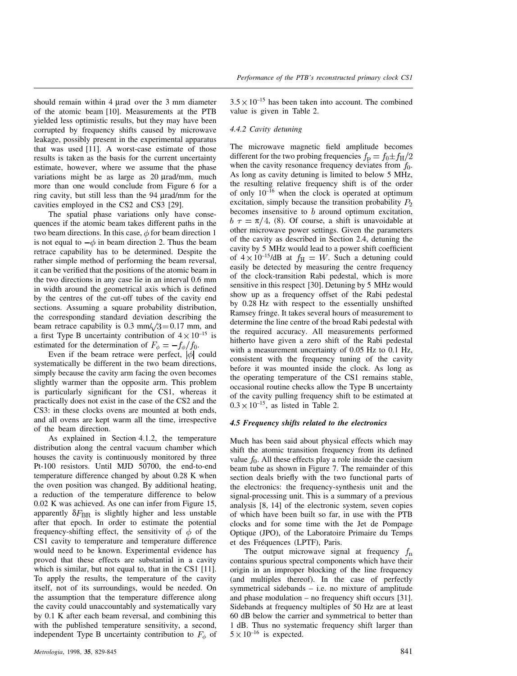should remain within 4 µrad over the 3 mm diameter of the atomic beam [10]. Measurements at the PTB yielded less optimistic results, but they may have been corrupted by frequency shifts caused by microwave leakage, possibly present in the experimental apparatus that was used [11]. A worst-case estimate of those results is taken as the basis for the current uncertainty estimate, however, where we assume that the phase variations might be as large as 20 µrad/mm, much more than one would conclude from Figure 6 for a ring cavity, but still less than the 94 µrad/mm for the cavities employed in the CS2 and CS3 [29].

The spatial phase variations only have consequences if the atomic beam takes different paths in the two beam directions. In this case,  $\phi$  for beam direction 1 is not equal to  $-\phi$  in beam direction 2. Thus the beam retrace capability has to be determined. Despite the rather simple method of performing the beam reversal, it can be verified that the positions of the atomic beam in the two directions in any case lie in an interval 0.6 mm in width around the geometrical axis which is defined by the centres of the cut-off tubes of the cavity end sections. Assuming a square probability distribution, the corresponding standard deviation describing the beam retrace capability is 0.3 mm/ $\sqrt{3}$  = 0.17 mm, and a first Type B uncertainty contribution of  $4 \times 10^{-15}$  is estimated for the determination of  $F_{\phi} = -f_{\phi}/f_0$ .

Even if the beam retrace were perfect,  $|\phi|$  could systematically be different in the two beam directions, simply because the cavity arm facing the oven becomes slightly warmer than the opposite arm. This problem is particularly significant for the CS1, whereas it practically does not exist in the case of the CS2 and the CS3: in these clocks ovens are mounted at both ends, and all ovens are kept warm all the time, irrespective of the beam direction.

As explained in Section 4.1.2, the temperature distribution along the central vacuum chamber which houses the cavity is continuously monitored by three Pt-100 resistors. Until MJD 50700, the end-to-end temperature difference changed by about 0.28 K when the oven position was changed. By additional heating, a reduction of the temperature difference to below 0.02 K was achieved. As one can infer from Figure 15, apparently  $\delta F_{\rm BR}$  is slightly higher and less unstable after that epoch. In order to estimate the potential frequency-shifting effect, the sensitivity of  $\phi$  of the CS1 cavity to temperature and temperature difference would need to be known. Experimental evidence has proved that these effects are substantial in a cavity which is similar, but not equal to, that in the CS1 [11]. To apply the results, the temperature of the cavity itself, not of its surroundings, would be needed. On the assumption that the temperature difference along the cavity could unaccountably and systematically vary by 0.1 K after each beam reversal, and combining this with the published temperature sensitivity, a second, independent Type B uncertainty contribution to  $F_{\phi}$  of

 $3.5 \times 10^{-15}$  has been taken into account. The combined value is given in Table 2.

## *4.4.2 Cavity detuning*

The microwave magnetic field amplitude becomes different for the two probing frequencies  $f_{\rm p} = f_0 \pm f_{\rm H}/2$ when the cavity resonance frequency deviates from  $f_0$ . As long as cavity detuning is limited to below 5 MHz, the resulting relative frequency shift is of the order of only  $10^{-16}$  when the clock is operated at optimum excitation, simply because the transition probability  $P_2$ becomes insensitive to  $b$  around optimum excitation,  $b \tau = \pi/4$ , (8). Of course, a shift is unavoidable at other microwave power settings. Given the parameters of the cavity as described in Section 2.4, detuning the cavity by 5 MHz would lead to a power shift coefficient of  $4 \times 10^{-15}$ /dB at  $f_H = W$ . Such a detuning could easily be detected by measuring the centre frequency of the clock-transition Rabi pedestal, which is more sensitive in this respect [30]. Detuning by 5 MHz would show up as a frequency offset of the Rabi pedestal by 0.28 Hz with respect to the essentially unshifted Ramsey fringe. It takes several hours of measurement to determine the line centre of the broad Rabi pedestal with the required accuracy. All measurements performed hitherto have given a zero shift of the Rabi pedestal with a measurement uncertainty of 0.05 Hz to 0.1 Hz, consistent with the frequency tuning of the cavity before it was mounted inside the clock. As long as the operating temperature of the CS1 remains stable, occasional routine checks allow the Type B uncertainty of the cavity pulling frequency shift to be estimated at  $0.3 \times 10^{-15}$ , as listed in Table 2.

## *4.5 Frequency shifts related to the electronics*

Much has been said about physical effects which may shift the atomic transition frequency from its defined value  $f_0$ . All these effects play a role inside the caesium beam tube as shown in Figure 7. The remainder of this section deals briefly with the two functional parts of the electronics: the frequency-synthesis unit and the signal-processing unit. This is a summary of a previous analysis [8, 14] of the electronic system, seven copies of which have been built so far, in use with the PTB clocks and for some time with the Jet de Pompage Optique (JPO), of the Laboratoire Primaire du Temps et des Fréquences (LPTF), Paris.

The output microwave signal at frequency  $f_n$ contains spurious spectral components which have their origin in an improper blocking of the line frequency (and multiples thereof). In the case of perfectly symmetrical sidebands – i.e. no mixture of amplitude and phase modulation – no frequency shift occurs [31]. Sidebands at frequency multiples of 50 Hz are at least 60 dB below the carrier and symmetrical to better than 1 dB. Thus no systematic frequency shift larger than  $5 \times 10^{-16}$  is expected.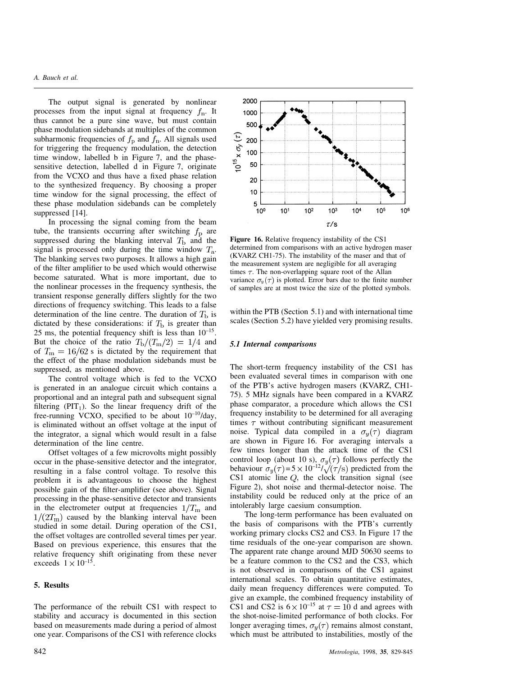## *A. Bauch et al.*

The output signal is generated by nonlinear processes from the input signal at frequency  $f_n$ . It thus cannot be a pure sine wave, but must contain phase modulation sidebands at multiples of the common subharmonic frequencies of  $f_{\rm p}$  and  $\dot{f}_{\rm n}$ . All signals used for triggering the frequency modulation, the detection time window, labelled b in Figure 7, and the phasesensitive detection, labelled d in Figure 7, originate from the VCXO and thus have a fixed phase relation to the synthesized frequency. By choosing a proper time window for the signal processing, the effect of these phase modulation sidebands can be completely suppressed [14].

In processing the signal coming from the beam tube, the transients occurring after switching  $f<sub>p</sub>$  are suppressed during the blanking interval  $T<sub>b</sub>$  and the signal is processed only during the time window  $T_a$ . The blanking serves two purposes. It allows a high gain of the filter amplifier to be used which would otherwise become saturated. What is more important, due to the nonlinear processes in the frequency synthesis, the transient response generally differs slightly for the two directions of frequency switching. This leads to a false determination of the line centre. The duration of  $T<sub>b</sub>$  is dictated by these considerations: if  $T<sub>b</sub>$  is greater than 25 ms, the potential frequency shift is less than  $10^{-15}$ . But the choice of the ratio  $T_{\rm b}/(T_{\rm m}/2) = 1/4$  and of  $T_{\rm m} = 16/62$  s is dictated by the requirement that the effect of the phase modulation sidebands must be suppressed, as mentioned above.

The control voltage which is fed to the VCXO is generated in an analogue circuit which contains a proportional and an integral path and subsequent signal filtering  $(PIT_1)$ . So the linear frequency drift of the free-running VCXO, specified to be about  $10^{-10}/day$ , is eliminated without an offset voltage at the input of the integrator, a signal which would result in a false determination of the line centre.

Offset voltages of a few microvolts might possibly occur in the phase-sensitive detector and the integrator, resulting in a false control voltage. To resolve this problem it is advantageous to choose the highest possible gain of the filter-amplifier (see above). Signal processing in the phase-sensitive detector and transients in the electrometer output at frequencies  $1/T<sub>m</sub>$  and  $1/(2T<sub>m</sub>)$  caused by the blanking interval have been studied in some detail. During operation of the CS1, the offset voltages are controlled several times per year. Based on previous experience, this ensures that the relative frequency shift originating from these never exceeds  $1 \times 10^{-15}$ .

### **5. Results**

The performance of the rebuilt CS1 with respect to stability and accuracy is documented in this section based on measurements made during a period of almost one year. Comparisons of the CS1 with reference clocks



**Figure 16.** Relative frequency instability of the CS1 determined from comparisons with an active hydrogen maser (KVARZ CH1-75). The instability of the maser and that of the measurement system are negligible for all averaging times  $\tau$ . The non-overlapping square root of the Allan variance  $\sigma_y(\tau)$  is plotted. Error bars due to the finite number of samples are at most twice the size of the plotted symbols.

within the PTB (Section 5.1) and with international time scales (Section 5.2) have yielded very promising results.

## *5.1 Internal comparisons*

The short-term frequency instability of the CS1 has been evaluated several times in comparison with one of the PTB's active hydrogen masers (KVARZ, CH1- 75). 5 MHz signals have been compared in a KVARZ phase comparator, a procedure which allows the CS1 frequency instability to be determined for all averaging times  $\tau$  without contributing significant measurement noise. Typical data compiled in a  $\sigma_u(\tau)$  diagram are shown in Figure 16. For averaging intervals a few times longer than the attack time of the CS1 control loop (about 10 s),  $\sigma_y(\tau)$  follows perfectly the behaviour  $\sigma_y(\tau) = 5 \times 10^{-12} / \sqrt{\tau/s}$  predicted from the CS1 atomic line  $Q$ , the clock transition signal (see Figure 2), shot noise and thermal-detector noise. The instability could be reduced only at the price of an intolerably large caesium consumption.

The long-term performance has been evaluated on the basis of comparisons with the PTB's currently working primary clocks CS2 and CS3. In Figure 17 the time residuals of the one-year comparison are shown. The apparent rate change around MJD 50630 seems to be a feature common to the CS2 and the CS3, which is not observed in comparisons of the CS1 against international scales. To obtain quantitative estimates, daily mean frequency differences were computed. To give an example, the combined frequency instability of CS1 and CS2 is  $6 \times 10^{-15}$  at  $\tau = 10$  d and agrees with the shot-noise-limited performance of both clocks. For longer averaging times,  $\sigma_y(\tau)$  remains almost constant, which must be attributed to instabilities, mostly of the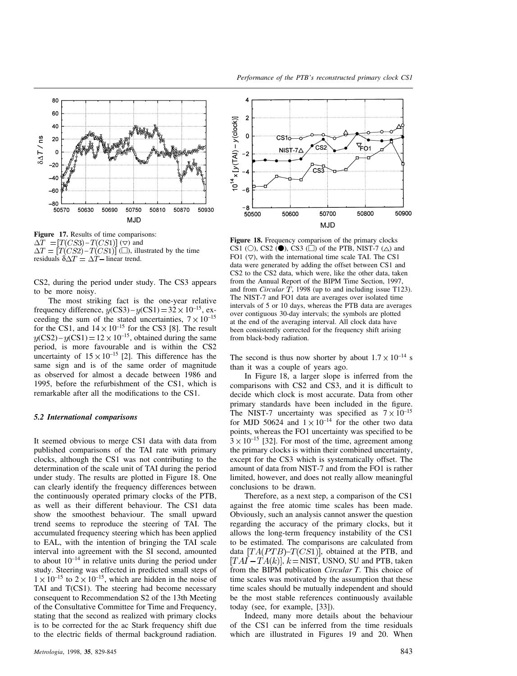

**Figure 17.** Results of time comparisons:  $\Delta T = [T(CS3) - T(CS1)]$  ( $\nabla$ ) and  $-T(CS1)]$  ( $\square$ ), illustrated by the time residuals  $\delta \Delta T = \Delta T$  linear trend.

CS2, during the period under study. The CS3 appears to be more noisy.

The most striking fact is the one-year relative frequency difference,  $y(CS3) - y(CS1) = 32 \times 10^{-15}$ , exceeding the sum of the stated uncertainties,  $7 \times 10^{-15}$ for the CS1, and  $14 \times 10^{-15}$  for the CS3 [8]. The result  $(CS2) - y(CS1) = 12 \times 10^{-15}$ , obtained during the same period, is more favourable and is within the CS2 uncertainty of  $15 \times 10^{-15}$  [2]. This difference has the same sign and is of the same order of magnitude as observed for almost a decade between 1986 and 1995, before the refurbishment of the CS1, which is remarkable after all the modifications to the CS1.

## *5.2 International comparisons*

It seemed obvious to merge CS1 data with data from published comparisons of the TAI rate with primary clocks, although the CS1 was not contributing to the determination of the scale unit of TAI during the period under study. The results are plotted in Figure 18. One can clearly identify the frequency differences between the continuously operated primary clocks of the PTB, as well as their different behaviour. The CS1 data show the smoothest behaviour. The small upward trend seems to reproduce the steering of TAI. The accumulated frequency steering which has been applied to EAL, with the intention of bringing the TAI scale interval into agreement with the SI second, amounted to about  $10^{-14}$  in relative units during the period under study. Steering was effected in predicted small steps of  $1 \times 10^{-15}$  to  $2 \times 10^{-15}$ , which are hidden in the noise of TAI and T(CS1). The steering had become necessary consequent to Recommendation S2 of the 13th Meeting of the Consultative Committee for Time and Frequency, stating that the second as realized with primary clocks is to be corrected for the ac Stark frequency shift due to the electric fields of thermal background radiation.



*Performance of the PTB's reconstructed primary clock CS1*

**Figure 18.** Frequency comparison of the primary clocks CS1 (O), CS2 ( $\bullet$ ), CS3 ( $\Box$ ) of the PTB, NIST-7 ( $\triangle$ ) and FO1  $(\nabla)$ , with the international time scale TAI. The CS1 data were generated by adding the offset between CS1 and CS2 to the CS2 data, which were, like the other data, taken from the Annual Report of the BIPM Time Section, 1997, and from *Circular T*, 1998 (up to and including issue T123). The NIST-7 and FO1 data are averages over isolated time intervals of 5 or 10 days, whereas the PTB data are averages over contiguous 30-day intervals; the symbols are plotted at the end of the averaging interval. All clock data have been consistently corrected for the frequency shift arising from black-body radiation.

The second is thus now shorter by about  $1.7 \times 10^{-14}$  s than it was a couple of years ago.

In Figure 18, a larger slope is inferred from the comparisons with CS2 and CS3, and it is difficult to decide which clock is most accurate. Data from other primary standards have been included in the figure. The NIST-7 uncertainty was specified as  $7 \times 10^{-15}$ for MJD 50624 and  $1 \times 10^{-14}$  for the other two data points, whereas the FO1 uncertainty was specified to be  $3 \times 10^{-15}$  [32]. For most of the time, agreement among the primary clocks is within their combined uncertainty, except for the CS3 which is systematically offset. The amount of data from NIST-7 and from the FO1 is rather limited, however, and does not really allow meaningful conclusions to be drawn.

Therefore, as a next step, a comparison of the CS1 against the free atomic time scales has been made. Obviously, such an analysis cannot answer the question regarding the accuracy of the primary clocks, but it allows the long-term frequency instability of the CS1 to be estimated. The comparisons are calculated from data  $[TA(PTB)-T(CS1)]$ , obtained at the PTB, and  $[TAI - TA(k)]$ ,  $k = NIST$ , USNO, SU and PTB, taken from the BIPM publication *Circular T*. This choice of time scales was motivated by the assumption that these time scales should be mutually independent and should be the most stable references continuously available today (see, for example, [33]).

Indeed, many more details about the behaviour of the CS1 can be inferred from the time residuals which are illustrated in Figures 19 and 20. When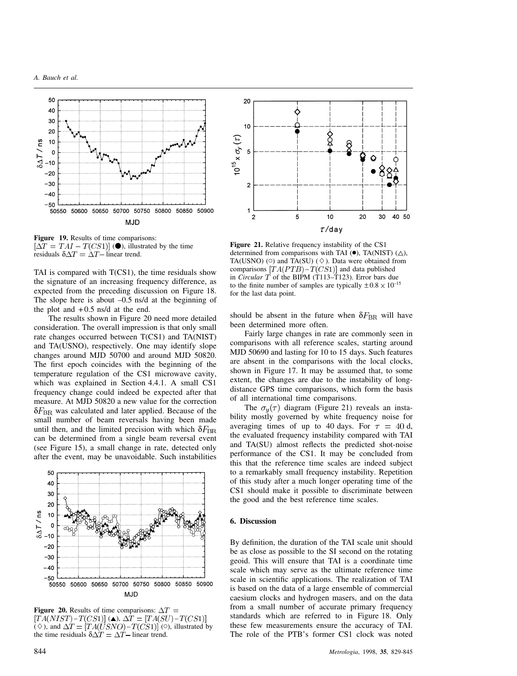

**Figure 19.** Results of time comparisons:  $[\Delta T = TAI - T(CS1)]$  ( $\bullet$ ), illustrated by the time residuals  $\delta \Delta T = \Delta T - \text{linear trend}.$ 

TAI is compared with  $T(CS1)$ , the time residuals show the signature of an increasing frequency difference, as expected from the preceding discussion on Figure 18. The slope here is about  $-0.5$  ns/d at the beginning of the plot and  $+0.5$  ns/d at the end.

The results shown in Figure 20 need more detailed consideration. The overall impression is that only small rate changes occurred between T(CS1) and TA(NIST) and TA(USNO), respectively. One may identify slope changes around MJD 50700 and around MJD 50820. The first epoch coincides with the beginning of the temperature regulation of the CS1 microwave cavity, which was explained in Section 4.4.1. A small CS1 frequency change could indeed be expected after that measure. At MJD 50820 a new value for the correction  $\delta F_{\rm BR}$  was calculated and later applied. Because of the small number of beam reversals having been made until then, and the limited precision with which  $\delta F_{\rm BR}$ can be determined from a single beam reversal event (see Figure 15), a small change in rate, detected only after the event, may be unavoidable. Such instabilities



**Figure 20.** Results of time comparisons:  $\Delta T =$  $[TA(NIST) - T(CS1)]$  ( $\triangle$ ),  $\Delta T = [TA(SU) - T(CS1)]$  $(\diamond)$ , and  $\Delta T = [TA(USNO) - T(CS1)]$  ( $\circ$ ), illustrated by the time residuals  $\delta \Delta T = \Delta T$  linear trend.



**Figure 21.** Relative frequency instability of the CS1 determined from comparisons with TAI ( $\bullet$ ), TA(NIST) ( $\triangle$ ), TA(USNO) ( $\circ$ ) and TA(SU) ( $\diamond$ ). Data were obtained from comparisons  $[TA(PTB) - T(CS1)]$  and data published in *Circular*  $\overline{T}$  of the BIPM (T113–T123). Error bars due to the finite number of samples are typically  $\pm 0.8 \times 10^{-15}$ for the last data point.

should be absent in the future when  $\delta F_{\rm BR}$  will have been determined more often.

Fairly large changes in rate are commonly seen in comparisons with all reference scales, starting around MJD 50690 and lasting for 10 to 15 days. Such features are absent in the comparisons with the local clocks, shown in Figure 17. It may be assumed that, to some extent, the changes are due to the instability of longdistance GPS time comparisons, which form the basis of all international time comparisons.

The  $\sigma_u(\tau)$  diagram (Figure 21) reveals an instability mostly governed by white frequency noise for averaging times of up to 40 days. For  $\tau = 40$  d, the evaluated frequency instability compared with TAI and TA(SU) almost reflects the predicted shot-noise performance of the CS1. It may be concluded from this that the reference time scales are indeed subject to a remarkably small frequency instability. Repetition of this study after a much longer operating time of the CS1 should make it possible to discriminate between the good and the best reference time scales.

#### **6. Discussion**

By definition, the duration of the TAI scale unit should be as close as possible to the SI second on the rotating geoid. This will ensure that TAI is a coordinate time scale which may serve as the ultimate reference time scale in scientific applications. The realization of TAI is based on the data of a large ensemble of commercial caesium clocks and hydrogen masers, and on the data from a small number of accurate primary frequency standards which are referred to in Figure 18. Only these few measurements ensure the accuracy of TAI. The role of the PTB's former CS1 clock was noted